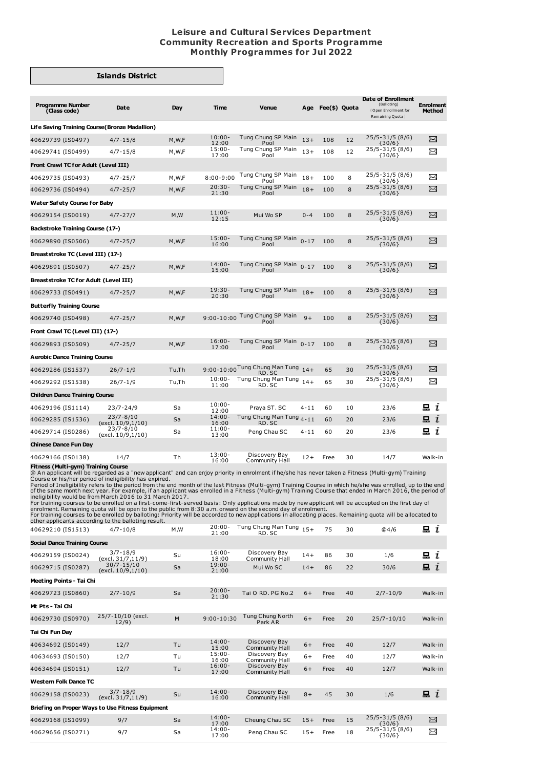## **Leisure and Cultural Services Department Community Recreation and Sports Programme Monthly Programmes for Jul 2022**

## **Islands District**

| <b>Programme Number</b><br>(Class code)                                                                                                                                                                                                                                                                                                                                                                                                                                                                                                                                                                                                                                                                                                                                                                                                                                                                                                                                                                                                                                                       | Date                                 | Day     | <b>Time</b>        | <b>Venue</b>                             |          | Age Fee(\$) Quota |    | Date of Enrollment<br>(Balloting)<br>Open Enrollment for<br>Remaining Quota } | <b>Enrolment</b><br><b>Method</b> |
|-----------------------------------------------------------------------------------------------------------------------------------------------------------------------------------------------------------------------------------------------------------------------------------------------------------------------------------------------------------------------------------------------------------------------------------------------------------------------------------------------------------------------------------------------------------------------------------------------------------------------------------------------------------------------------------------------------------------------------------------------------------------------------------------------------------------------------------------------------------------------------------------------------------------------------------------------------------------------------------------------------------------------------------------------------------------------------------------------|--------------------------------------|---------|--------------------|------------------------------------------|----------|-------------------|----|-------------------------------------------------------------------------------|-----------------------------------|
| Life Saving Training Course (Bronze Madallion)                                                                                                                                                                                                                                                                                                                                                                                                                                                                                                                                                                                                                                                                                                                                                                                                                                                                                                                                                                                                                                                |                                      |         |                    |                                          |          |                   |    |                                                                               |                                   |
| 40629739 (IS0497)                                                                                                                                                                                                                                                                                                                                                                                                                                                                                                                                                                                                                                                                                                                                                                                                                                                                                                                                                                                                                                                                             | $4/7 - 15/8$                         | M, W, F | $10:00 -$<br>12:00 | Tung Chung SP Main<br>Pool               | $13+$    | 108               | 12 | 25/5-31/5 (8/6)<br>${30/6}$                                                   | X                                 |
| 40629741 (IS0499)                                                                                                                                                                                                                                                                                                                                                                                                                                                                                                                                                                                                                                                                                                                                                                                                                                                                                                                                                                                                                                                                             | $4/7 - 15/8$                         | M,W,F   | $15:00 -$<br>17:00 | Tung Chung SP Main<br>Pool               | $13+$    | 108               | 12 | 25/5-31/5 (8/6)<br>${30/6}$                                                   | ≻                                 |
| Front Crawl TC for Adult (Level III)                                                                                                                                                                                                                                                                                                                                                                                                                                                                                                                                                                                                                                                                                                                                                                                                                                                                                                                                                                                                                                                          |                                      |         |                    |                                          |          |                   |    |                                                                               |                                   |
| 40629735 (IS0493)                                                                                                                                                                                                                                                                                                                                                                                                                                                                                                                                                                                                                                                                                                                                                                                                                                                                                                                                                                                                                                                                             | $4/7 - 25/7$                         | M,W,F   | $8:00 - 9:00$      | Tung Chung SP Main<br>Pool               | $18+$    | 100               | 8  | 25/5-31/5 (8/6)<br>{30/6}                                                     | ≻≺                                |
| 40629736 (IS0494)                                                                                                                                                                                                                                                                                                                                                                                                                                                                                                                                                                                                                                                                                                                                                                                                                                                                                                                                                                                                                                                                             | $4/7 - 25/7$                         | M, W, F | $20:30-$<br>21:30  | Tung Chung SP Main<br>Pool               | $18+$    | 100               | 8  | 25/5-31/5 (8/6)<br>${30/6}$                                                   | χ                                 |
| Water Safety Course for Baby                                                                                                                                                                                                                                                                                                                                                                                                                                                                                                                                                                                                                                                                                                                                                                                                                                                                                                                                                                                                                                                                  |                                      |         |                    |                                          |          |                   |    |                                                                               |                                   |
| 40629154 (IS0019)                                                                                                                                                                                                                                                                                                                                                                                                                                                                                                                                                                                                                                                                                                                                                                                                                                                                                                                                                                                                                                                                             | $4/7 - 27/7$                         | M, W    | $11:00 -$<br>12:15 | Mui Wo SP                                | $0 - 4$  | 100               | 8  | 25/5-31/5 (8/6)<br>${30/6}$                                                   | $\Join$                           |
| Backstroke Training Course (17-)                                                                                                                                                                                                                                                                                                                                                                                                                                                                                                                                                                                                                                                                                                                                                                                                                                                                                                                                                                                                                                                              |                                      |         |                    |                                          |          |                   |    |                                                                               |                                   |
| 40629890 (IS0506)                                                                                                                                                                                                                                                                                                                                                                                                                                                                                                                                                                                                                                                                                                                                                                                                                                                                                                                                                                                                                                                                             | $4/7 - 25/7$                         | M,W,F   | $15:00 -$<br>16:00 | Tung Chung SP Main<br>Pool               | $0 - 17$ | 100               | 8  | 25/5-31/5 (8/6)                                                               | $\Join$                           |
| Breaststroke TC (Level III) (17-)                                                                                                                                                                                                                                                                                                                                                                                                                                                                                                                                                                                                                                                                                                                                                                                                                                                                                                                                                                                                                                                             |                                      |         |                    |                                          |          |                   |    | $\{30/6\}$                                                                    |                                   |
| 40629891 (IS0507)                                                                                                                                                                                                                                                                                                                                                                                                                                                                                                                                                                                                                                                                                                                                                                                                                                                                                                                                                                                                                                                                             | $4/7 - 25/7$                         | M,W,F   | $14:00 -$          | Tung Chung SP Main                       | $0 - 17$ | 100               | 8  | 25/5-31/5 (8/6)                                                               | X                                 |
| Breaststroke TC for Adult (Level III)                                                                                                                                                                                                                                                                                                                                                                                                                                                                                                                                                                                                                                                                                                                                                                                                                                                                                                                                                                                                                                                         |                                      |         | 15:00              | Pool                                     |          |                   |    | ${30/6}$                                                                      |                                   |
| 40629733 (IS0491)                                                                                                                                                                                                                                                                                                                                                                                                                                                                                                                                                                                                                                                                                                                                                                                                                                                                                                                                                                                                                                                                             | $4/7 - 25/7$                         | M, W, F | $19:30-$           | Tung Chung SP Main                       | $18+$    | 100               | 8  | 25/5-31/5 (8/6)                                                               | X                                 |
| <b>Butterfly Training Course</b>                                                                                                                                                                                                                                                                                                                                                                                                                                                                                                                                                                                                                                                                                                                                                                                                                                                                                                                                                                                                                                                              |                                      |         | 20:30              | Pool                                     |          |                   |    | ${30/6}$                                                                      |                                   |
| 40629740 (IS0498)                                                                                                                                                                                                                                                                                                                                                                                                                                                                                                                                                                                                                                                                                                                                                                                                                                                                                                                                                                                                                                                                             | $4/7 - 25/7$                         | M, W, F | $9:00 - 10:00$     | Tung Chung SP Main                       | $9+$     | 100               | 8  | 25/5-31/5 (8/6)                                                               | X                                 |
|                                                                                                                                                                                                                                                                                                                                                                                                                                                                                                                                                                                                                                                                                                                                                                                                                                                                                                                                                                                                                                                                                               |                                      |         |                    | Pool                                     |          |                   |    | $\{30/6\}$                                                                    |                                   |
| Front Crawl TC (Level III) (17-)                                                                                                                                                                                                                                                                                                                                                                                                                                                                                                                                                                                                                                                                                                                                                                                                                                                                                                                                                                                                                                                              |                                      |         | $16:00 -$          | Tung Chung SP Main                       | $0 - 17$ |                   |    | 25/5-31/5 (8/6)                                                               | X                                 |
| 40629893 (IS0509)                                                                                                                                                                                                                                                                                                                                                                                                                                                                                                                                                                                                                                                                                                                                                                                                                                                                                                                                                                                                                                                                             | $4/7 - 25/7$                         | M,W,F   | 17:00              | Pool                                     |          | 100               | 8  | ${30/6}$                                                                      |                                   |
| <b>Aerobic Dance Training Course</b>                                                                                                                                                                                                                                                                                                                                                                                                                                                                                                                                                                                                                                                                                                                                                                                                                                                                                                                                                                                                                                                          |                                      |         |                    | 9:00-10:00 Tung Chung Man Tung           |          |                   |    | 25/5-31/5 (8/6)                                                               |                                   |
| 40629286 (IS1537)                                                                                                                                                                                                                                                                                                                                                                                                                                                                                                                                                                                                                                                                                                                                                                                                                                                                                                                                                                                                                                                                             | $26/7 - 1/9$                         | Tu,Th   | $10:00 -$          | RD. SC<br>Tung Chung Man Tung            | $14+$    | 65                | 30 | $\{30/6\}$<br>25/5-31/5 (8/6)                                                 | X                                 |
| 40629292 (IS1538)                                                                                                                                                                                                                                                                                                                                                                                                                                                                                                                                                                                                                                                                                                                                                                                                                                                                                                                                                                                                                                                                             | $26/7 - 1/9$                         | Tu,Th   | 11:00              | RD. SC                                   | $14+$    | 65                | 30 | ${30/6}$                                                                      | X                                 |
| <b>Children Dance Training Course</b>                                                                                                                                                                                                                                                                                                                                                                                                                                                                                                                                                                                                                                                                                                                                                                                                                                                                                                                                                                                                                                                         |                                      |         | $10:00 -$          |                                          |          |                   |    |                                                                               |                                   |
| 40629196 (IS1114)                                                                                                                                                                                                                                                                                                                                                                                                                                                                                                                                                                                                                                                                                                                                                                                                                                                                                                                                                                                                                                                                             | $23/7 - 24/9$<br>$23/7 - 8/10$       | Sa      | 12:00<br>$14:00 -$ | Praya ST. SC<br>Tung Chung Man Tung 4-11 | $4 - 11$ | 60                | 10 | 23/6                                                                          | 묘 i                               |
| 40629285 (IS1536)                                                                                                                                                                                                                                                                                                                                                                                                                                                                                                                                                                                                                                                                                                                                                                                                                                                                                                                                                                                                                                                                             | (excl. 10/9, 1/10)<br>$23/7 - 8/10$  | Sa      | 16:00<br>$11:00 -$ | RD. SC                                   |          | 60                | 20 | 23/6                                                                          | 묘<br>$\mathbf{r}$                 |
| 40629714 (IS0286)                                                                                                                                                                                                                                                                                                                                                                                                                                                                                                                                                                                                                                                                                                                                                                                                                                                                                                                                                                                                                                                                             | (excl. 10/9,1/10)                    | Sa      | 13:00              | Peng Chau SC                             | 4-11     | 60                | 20 | 23/6                                                                          | 吕 ≀                               |
| Chinese Dance Fun Day                                                                                                                                                                                                                                                                                                                                                                                                                                                                                                                                                                                                                                                                                                                                                                                                                                                                                                                                                                                                                                                                         |                                      |         |                    |                                          |          |                   |    |                                                                               |                                   |
| 40629166 (IS0138)<br>Fitness (Multi-gym) Training Course                                                                                                                                                                                                                                                                                                                                                                                                                                                                                                                                                                                                                                                                                                                                                                                                                                                                                                                                                                                                                                      | 14/7                                 | Th      | $13:00 -$<br>16:00 | Discovery Bay<br>Community Hall          | $12+$    | Free              | 30 | 14/7                                                                          | Walk-in                           |
| @ An applicant will be regarded as a "new applicant" and can enjoy priority in enrolment if he/she has never taken a Fitness (Multi-gym) Training<br>Course or his/her period of ineligibility has expired.<br>Period of Ineligibility refers to the period from the end month of the last Fitness (Multi-gym) Training Course in which he/she was enrolled, up to the end<br>of the same month next year. For example, if an applicant was enrolled in a Fitness (Multi-gym) Training Course that ended in March 2016, the period of<br>ineligibility would be from March 2016 to 31 March 2017.<br>For training courses to be enrolled on a first-come-first-served basis: Only applications made by new applicant will be accepted on the first day of<br>enrolment. Remaining quota will be open to the public from 8:30 a.m. onward on the second day of enrolment.<br>For training courses to be enrolled by balloting: Priority will be accorded to new applications in allocating places. Remaining quota will be allocated to<br>other applicants according to the balloting result. |                                      |         |                    |                                          |          |                   |    |                                                                               |                                   |
| 40629210 (IS1513)                                                                                                                                                                                                                                                                                                                                                                                                                                                                                                                                                                                                                                                                                                                                                                                                                                                                                                                                                                                                                                                                             | $4/7 - 10/8$                         | M, M    | $20:00 -$<br>21:00 | Tung Chung Man Tung 15+<br>RD. SC        |          | 75                | 30 | @4/6                                                                          | $\mathbf{a}$ i                    |
| <b>Social Dance Training Course</b>                                                                                                                                                                                                                                                                                                                                                                                                                                                                                                                                                                                                                                                                                                                                                                                                                                                                                                                                                                                                                                                           |                                      |         |                    |                                          |          |                   |    |                                                                               |                                   |
| 40629159 (IS0024)                                                                                                                                                                                                                                                                                                                                                                                                                                                                                                                                                                                                                                                                                                                                                                                                                                                                                                                                                                                                                                                                             | $3/7 - 18/9$<br>(excl. 31/7, 11/9)   | Su      | $16:00 -$<br>18:00 | Discovery Bay<br>Community Hall          | $14+$    | 86                | 30 | 1/6                                                                           | $\mathbf{a}$ i                    |
| 40629715 (IS0287)                                                                                                                                                                                                                                                                                                                                                                                                                                                                                                                                                                                                                                                                                                                                                                                                                                                                                                                                                                                                                                                                             | $30/7 - 15/10$<br>(excl. 10/9, 1/10) | Sa      | $19:00 -$<br>21:00 | Mui Wo SC                                | $14+$    | 86                | 22 | 30/6                                                                          | $\mathbf{a}$ i                    |
| Meeting Points - Tai Chi                                                                                                                                                                                                                                                                                                                                                                                                                                                                                                                                                                                                                                                                                                                                                                                                                                                                                                                                                                                                                                                                      |                                      |         |                    |                                          |          |                   |    |                                                                               |                                   |
| 40629723 (IS0860)                                                                                                                                                                                                                                                                                                                                                                                                                                                                                                                                                                                                                                                                                                                                                                                                                                                                                                                                                                                                                                                                             | $2/7 - 10/9$                         | Sa      | $20:00 -$<br>21:30 | Tai O RD. PG No.2                        | $6+$     | Free              | 40 | $2/7 - 10/9$                                                                  | Walk-in                           |
| Mt Pts - Tai Chi                                                                                                                                                                                                                                                                                                                                                                                                                                                                                                                                                                                                                                                                                                                                                                                                                                                                                                                                                                                                                                                                              |                                      |         |                    |                                          |          |                   |    |                                                                               |                                   |
| 40629730 (IS0970)                                                                                                                                                                                                                                                                                                                                                                                                                                                                                                                                                                                                                                                                                                                                                                                                                                                                                                                                                                                                                                                                             | 25/7-10/10 (excl.<br>12/9)           | M       | 9:00-10:30         | Tung Chung North<br>Park AR              | $6+$     | Free              | 20 | 25/7-10/10                                                                    | Walk-in                           |
| Tai Chi Fun Day                                                                                                                                                                                                                                                                                                                                                                                                                                                                                                                                                                                                                                                                                                                                                                                                                                                                                                                                                                                                                                                                               |                                      |         |                    |                                          |          |                   |    |                                                                               |                                   |
| 40634692 (IS0149)                                                                                                                                                                                                                                                                                                                                                                                                                                                                                                                                                                                                                                                                                                                                                                                                                                                                                                                                                                                                                                                                             | 12/7                                 | Tu      | $14:00 -$<br>15:00 | Discovery Bay<br>Community Hall          | $6+$     | Free              | 40 | 12/7                                                                          | Walk-in                           |
| 40634693 (IS0150)                                                                                                                                                                                                                                                                                                                                                                                                                                                                                                                                                                                                                                                                                                                                                                                                                                                                                                                                                                                                                                                                             | 12/7                                 | Tu      | $15:00 -$<br>16:00 | Discovery Bay<br>Community Hall          | 6+       | Free              | 40 | 12/7                                                                          | Walk-in                           |
| 40634694 (IS0151)                                                                                                                                                                                                                                                                                                                                                                                                                                                                                                                                                                                                                                                                                                                                                                                                                                                                                                                                                                                                                                                                             | 12/7                                 | Tu      | $16:00 -$<br>17:00 | Discovery Bay<br>Community Hall          | $6+$     | Free              | 40 | 12/7                                                                          | Walk-in                           |

**Western Folk Dance TC** 40629158 (IS0023) 3/7-18/9 (excl. 31/7,11/9) Su 14:00- 16:00 Discovery Bay Community Hall  $i$ 8+ 45 30 1/6 **Briefing on Proper Ways to Use Fitness Equipment** 40629168 (IS1099) 9/7 Sa Cheung Chau SC 15+ Free 15 25/5-31/5 (8/6) {30/6} 25/5-31/5 (8/6) {30/6} $\boxtimes$ 17:00 40629656 (IS0271) 9/7 Sa Peng Chau SC 15+ Free 18 X 17:00